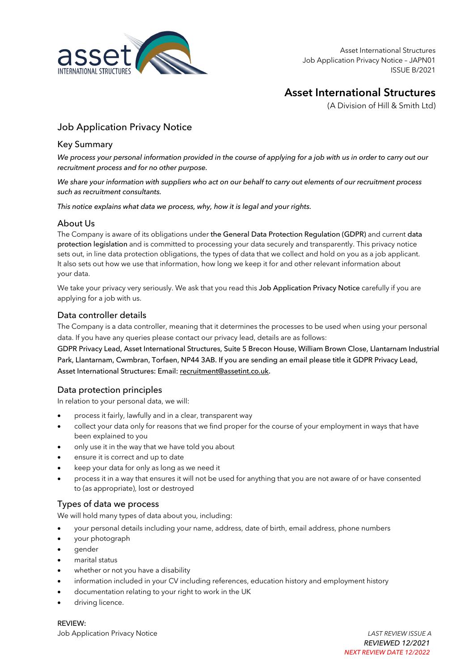

## **Asset International Structures**

(A Division of Hill & Smith Ltd)

## Job Application Privacy Notice

## Key Summary

*We process your personal information provided in the course of applying for a job with us in order to carry out our recruitment process and for no other purpose.* 

*We share your information with suppliers who act on our behalf to carry out elements of our recruitment process such as recruitment consultants.* 

*This notice explains what data we process, why, how it is legal and your rights.*

#### About Us

The Company is aware of its obligations under the General Data Protection Regulation (GDPR) and current data protection legislation and is committed to processing your data securely and transparently. This privacy notice sets out, in line data protection obligations, the types of data that we collect and hold on you as a job applicant. It also sets out how we use that information, how long we keep it for and other relevant information about your data.

We take your privacy very seriously. We ask that you read this Job Application Privacy Notice carefully if you are applying for a job with us.

## Data controller details

The Company is a data controller, meaning that it determines the processes to be used when using your personal data. If you have any queries please contact our privacy lead, details are as follows:

GDPR Privacy Lead, Asset International Structures, Suite 5 Brecon House, William Brown Close, Llantarnam Industrial Park, Llantarnam, Cwmbran, Torfaen, NP44 3AB. If you are sending an email please title it GDPR Privacy Lead, Asset International Structures: Email: recruitment@assetint.co.uk.

## Data protection principles

In relation to your personal data, we will:

- process it fairly, lawfully and in a clear, transparent way
- collect your data only for reasons that we find proper for the course of your employment in ways that have been explained to you
- only use it in the way that we have told you about
- ensure it is correct and up to date
- keep your data for only as long as we need it
- process it in a way that ensures it will not be used for anything that you are not aware of or have consented to (as appropriate), lost or destroyed

#### Types of data we process

We will hold many types of data about you, including:

- your personal details including your name, address, date of birth, email address, phone numbers
- your photograph
- gender
- marital status
- whether or not you have a disability
- information included in your CV including references, education history and employment history
- documentation relating to your right to work in the UK
- driving licence.

REVIEW: Job Application Privacy Notice *LAST REVIEW ISSUE A*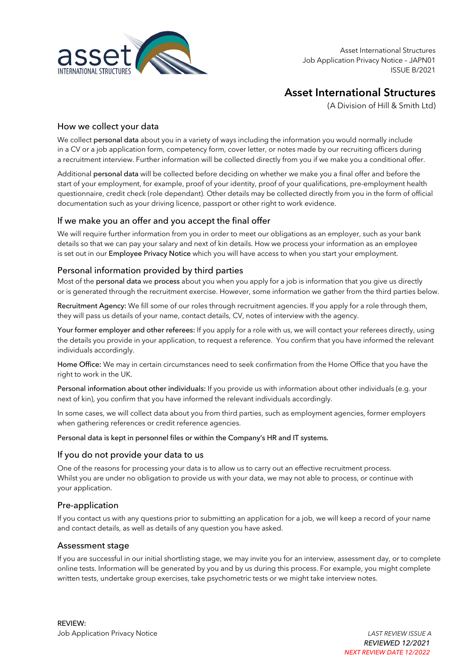

# **Asset International Structures**

(A Division of Hill & Smith Ltd)

#### How we collect your data

We collect personal data about you in a variety of ways including the information you would normally include in a CV or a job application form, competency form, cover letter, or notes made by our recruiting officers during a recruitment interview. Further information will be collected directly from you if we make you a conditional offer.

Additional personal data will be collected before deciding on whether we make you a final offer and before the start of your employment, for example, proof of your identity, proof of your qualifications, pre-employment health questionnaire, credit check (role dependant). Other details may be collected directly from you in the form of official documentation such as your driving licence, passport or other right to work evidence.

## If we make you an offer and you accept the final offer

We will require further information from you in order to meet our obligations as an employer, such as your bank details so that we can pay your salary and next of kin details. How we process your information as an employee is set out in our Employee Privacy Notice which you will have access to when you start your employment.

## Personal information provided by third parties

Most of the personal data we process about you when you apply for a job is information that you give us directly or is generated through the recruitment exercise. However, some information we gather from the third parties below.

Recruitment Agency: We fill some of our roles through recruitment agencies. If you apply for a role through them, they will pass us details of your name, contact details, CV, notes of interview with the agency.

Your former employer and other referees: If you apply for a role with us, we will contact your referees directly, using the details you provide in your application, to request a reference. You confirm that you have informed the relevant individuals accordingly.

Home Office: We may in certain circumstances need to seek confirmation from the Home Office that you have the right to work in the UK.

Personal information about other individuals: If you provide us with information about other individuals (e.g. your next of kin), you confirm that you have informed the relevant individuals accordingly.

In some cases, we will collect data about you from third parties, such as employment agencies, former employers when gathering references or credit reference agencies.

#### Personal data is kept in personnel files or within the Company's HR and IT systems.

#### If you do not provide your data to us

One of the reasons for processing your data is to allow us to carry out an effective recruitment process. Whilst you are under no obligation to provide us with your data, we may not able to process, or continue with your application.

#### Pre-application

If you contact us with any questions prior to submitting an application for a job, we will keep a record of your name and contact details, as well as details of any question you have asked.

#### Assessment stage

If you are successful in our initial shortlisting stage, we may invite you for an interview, assessment day, or to complete online tests. Information will be generated by you and by us during this process. For example, you might complete written tests, undertake group exercises, take psychometric tests or we might take interview notes.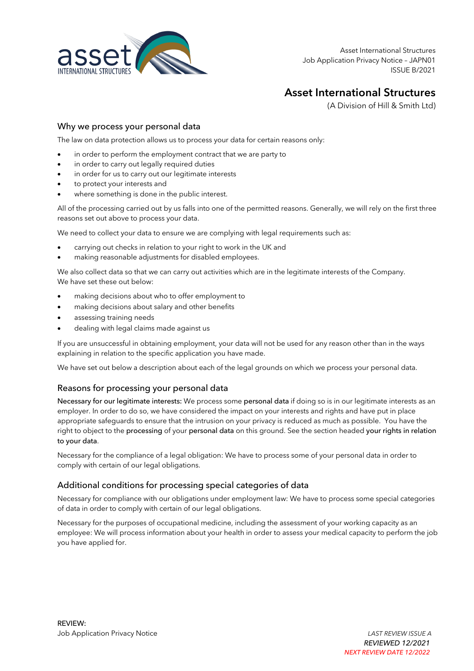

## **Asset International Structures**

(A Division of Hill & Smith Ltd)

#### Why we process your personal data

The law on data protection allows us to process your data for certain reasons only:

- in order to perform the employment contract that we are party to
- in order to carry out legally required duties
- in order for us to carry out our legitimate interests
- to protect your interests and
- where something is done in the public interest.

All of the processing carried out by us falls into one of the permitted reasons. Generally, we will rely on the first three reasons set out above to process your data.

We need to collect your data to ensure we are complying with legal requirements such as:

- carrying out checks in relation to your right to work in the UK and
- making reasonable adjustments for disabled employees.

We also collect data so that we can carry out activities which are in the legitimate interests of the Company. We have set these out below:

- making decisions about who to offer employment to
- making decisions about salary and other benefits
- assessing training needs
- dealing with legal claims made against us

If you are unsuccessful in obtaining employment, your data will not be used for any reason other than in the ways explaining in relation to the specific application you have made.

We have set out below a description about each of the legal grounds on which we process your personal data.

## Reasons for processing your personal data

Necessary for our legitimate interests: We process some personal data if doing so is in our legitimate interests as an employer. In order to do so, we have considered the impact on your interests and rights and have put in place appropriate safeguards to ensure that the intrusion on your privacy is reduced as much as possible. You have the right to object to the processing of your personal data on this ground. See the section headed your rights in relation to your data.

Necessary for the compliance of a legal obligation: We have to process some of your personal data in order to comply with certain of our legal obligations.

## Additional conditions for processing special categories of data

Necessary for compliance with our obligations under employment law: We have to process some special categories of data in order to comply with certain of our legal obligations.

Necessary for the purposes of occupational medicine, including the assessment of your working capacity as an employee: We will process information about your health in order to assess your medical capacity to perform the job you have applied for.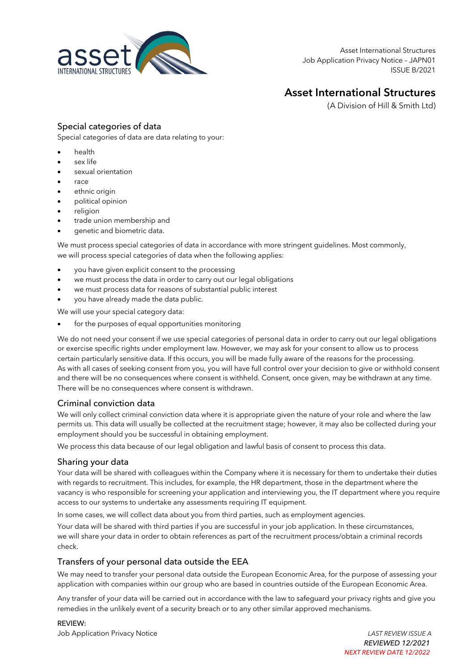

## **Asset International Structures**

(A Division of Hill & Smith Ltd)

## Special categories of data

Special categories of data are data relating to your:

- health
- sex life
- sexual orientation
- race
- ethnic origin
- political opinion
- religion
- trade union membership and
- genetic and biometric data.

We must process special categories of data in accordance with more stringent guidelines. Most commonly, we will process special categories of data when the following applies:

- you have given explicit consent to the processing
- we must process the data in order to carry out our legal obligations
- we must process data for reasons of substantial public interest
- you have already made the data public.

We will use your special category data:

for the purposes of equal opportunities monitoring

We do not need your consent if we use special categories of personal data in order to carry out our legal obligations or exercise specific rights under employment law. However, we may ask for your consent to allow us to process certain particularly sensitive data. If this occurs, you will be made fully aware of the reasons for the processing. As with all cases of seeking consent from you, you will have full control over your decision to give or withhold consent and there will be no consequences where consent is withheld. Consent, once given, may be withdrawn at any time. There will be no consequences where consent is withdrawn.

## Criminal conviction data

We will only collect criminal conviction data where it is appropriate given the nature of your role and where the law permits us. This data will usually be collected at the recruitment stage; however, it may also be collected during your employment should you be successful in obtaining employment.

We process this data because of our legal obligation and lawful basis of consent to process this data.

## Sharing your data

Your data will be shared with colleagues within the Company where it is necessary for them to undertake their duties with regards to recruitment. This includes, for example, the HR department, those in the department where the vacancy is who responsible for screening your application and interviewing you, the IT department where you require access to our systems to undertake any assessments requiring IT equipment.

In some cases, we will collect data about you from third parties, such as employment agencies.

Your data will be shared with third parties if you are successful in your job application. In these circumstances, we will share your data in order to obtain references as part of the recruitment process/obtain a criminal records check.

## Transfers of your personal data outside the EEA

We may need to transfer your personal data outside the European Economic Area, for the purpose of assessing your application with companies within our group who are based in countries outside of the European Economic Area.

Any transfer of your data will be carried out in accordance with the law to safeguard your privacy rights and give you remedies in the unlikely event of a security breach or to any other similar approved mechanisms.

#### REVIEW:

Job Application Privacy Notice *LAST REVIEW ISSUE A*

*REVIEWED 12/2021 NEXT REVIEW DATE 12/2022*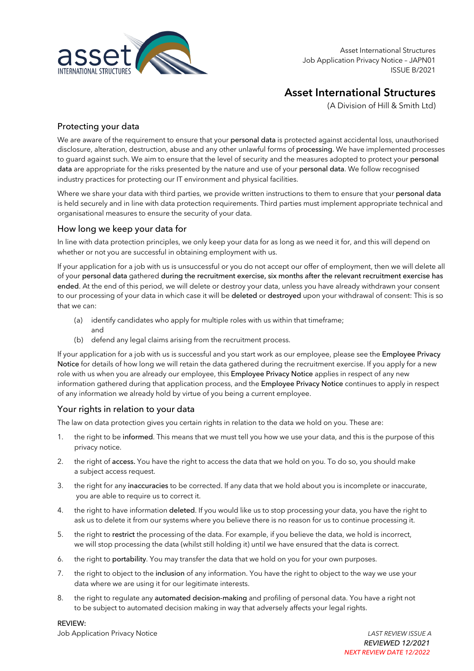

## **Asset International Structures**

(A Division of Hill & Smith Ltd)

## Protecting your data

We are aware of the requirement to ensure that your personal data is protected against accidental loss, unauthorised disclosure, alteration, destruction, abuse and any other unlawful forms of processing. We have implemented processes to guard against such. We aim to ensure that the level of security and the measures adopted to protect your personal data are appropriate for the risks presented by the nature and use of your personal data. We follow recognised industry practices for protecting our IT environment and physical facilities.

Where we share your data with third parties, we provide written instructions to them to ensure that your personal data is held securely and in line with data protection requirements. Third parties must implement appropriate technical and organisational measures to ensure the security of your data.

## How long we keep your data for

In line with data protection principles, we only keep your data for as long as we need it for, and this will depend on whether or not you are successful in obtaining employment with us.

If your application for a job with us is unsuccessful or you do not accept our offer of employment, then we will delete all of your personal data gathered during the recruitment exercise, six months after the relevant recruitment exercise has ended. At the end of this period, we will delete or destroy your data, unless you have already withdrawn your consent to our processing of your data in which case it will be deleted or destroyed upon your withdrawal of consent: This is so that we can:

- (a) identify candidates who apply for multiple roles with us within that timeframe; and
- (b) defend any legal claims arising from the recruitment process.

If your application for a job with us is successful and you start work as our employee, please see the Employee Privacy Notice for details of how long we will retain the data gathered during the recruitment exercise. If you apply for a new role with us when you are already our employee, this Employee Privacy Notice applies in respect of any new information gathered during that application process, and the Employee Privacy Notice continues to apply in respect of any information we already hold by virtue of you being a current employee.

## Your rights in relation to your data

The law on data protection gives you certain rights in relation to the data we hold on you. These are:

- 1. the right to be informed. This means that we must tell you how we use your data, and this is the purpose of this privacy notice.
- 2. the right of access. You have the right to access the data that we hold on you. To do so, you should make a subject access request.
- 3. the right for any inaccuracies to be corrected. If any data that we hold about you is incomplete or inaccurate, you are able to require us to correct it.
- 4. the right to have information deleted. If you would like us to stop processing your data, you have the right to ask us to delete it from our systems where you believe there is no reason for us to continue processing it.
- 5. the right to restrict the processing of the data. For example, if you believe the data, we hold is incorrect, we will stop processing the data (whilst still holding it) until we have ensured that the data is correct.
- 6. the right to portability. You may transfer the data that we hold on you for your own purposes.
- 7. the right to object to the inclusion of any information. You have the right to object to the way we use your data where we are using it for our legitimate interests.
- 8. the right to regulate any automated decision-making and profiling of personal data. You have a right not to be subject to automated decision making in way that adversely affects your legal rights.

REVIEW:

Job Application Privacy Notice *LAST REVIEW ISSUE A*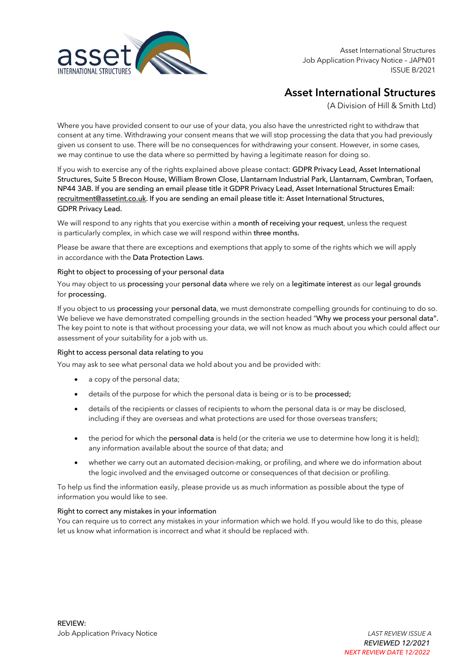

## **Asset International Structures**

(A Division of Hill & Smith Ltd)

Where you have provided consent to our use of your data, you also have the unrestricted right to withdraw that consent at any time. Withdrawing your consent means that we will stop processing the data that you had previously given us consent to use. There will be no consequences for withdrawing your consent. However, in some cases, we may continue to use the data where so permitted by having a legitimate reason for doing so.

If you wish to exercise any of the rights explained above please contact: GDPR Privacy Lead, Asset International Structures, Suite 5 Brecon House, William Brown Close, Llantarnam Industrial Park, Llantarnam, Cwmbran, Torfaen, NP44 3AB. If you are sending an email please title it GDPR Privacy Lead, Asset International Structures Email: recruitment@assetint.co.uk. If you are sending an email please title it: Asset International Structures, GDPR Privacy Lead.

We will respond to any rights that you exercise within a month of receiving your request, unless the request is particularly complex, in which case we will respond within three months.

Please be aware that there are exceptions and exemptions that apply to some of the rights which we will apply in accordance with the Data Protection Laws.

#### Right to object to processing of your personal data

You may object to us processing your personal data where we rely on a legitimate interest as our legal grounds for processing.

If you object to us processing your personal data, we must demonstrate compelling grounds for continuing to do so. We believe we have demonstrated compelling grounds in the section headed "Why we process your personal data". The key point to note is that without processing your data, we will not know as much about you which could affect our assessment of your suitability for a job with us.

#### Right to access personal data relating to you

You may ask to see what personal data we hold about you and be provided with:

- a copy of the personal data;
- details of the purpose for which the personal data is being or is to be processed;
- details of the recipients or classes of recipients to whom the personal data is or may be disclosed, including if they are overseas and what protections are used for those overseas transfers;
- the period for which the **personal data** is held (or the criteria we use to determine how long it is held); any information available about the source of that data; and
- whether we carry out an automated decision-making, or profiling, and where we do information about the logic involved and the envisaged outcome or consequences of that decision or profiling.

To help us find the information easily, please provide us as much information as possible about the type of information you would like to see.

#### Right to correct any mistakes in your information

You can require us to correct any mistakes in your information which we hold. If you would like to do this, please let us know what information is incorrect and what it should be replaced with.